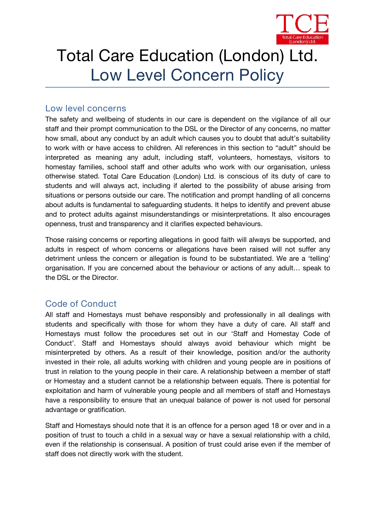

# Total Care Education (London) Ltd. Low Level Concern Policy

## **Low level concerns**

The safety and wellbeing of students in our care is dependent on the vigilance of all our staff and their prompt communication to the DSL or the Director of any concerns, no matter how small, about any conduct by an adult which causes you to doubt that adult's suitability to work with or have access to children. All references in this section to "adult" should be interpreted asmeaning any adult, including staff, volunteers, homestays, visitors to homestay families, school staff and other adults who work with our organisation, unless otherwise stated. *Total Care Education (London) Ltd.* is conscious of its duty of care to students and will always act, including if alerted to the possibility of abuse arising from situations or persons outside our care. The notification and prompt handling of all concerns about adults is fundamental to safeguarding students. It helps to identify and prevent abuse and to protect adults against misunderstandings or misinterpretations. It also encourages openness, trust and transparency and it clarifies expected behaviours.

Those raising concerns or reporting allegations in good faith will always be supported, and adults in respect of whom concerns or allegations have been raised will not suffer any detriment unless the concern or allegation is found to be substantiated. We are a 'telling' organisation. If you are concerned about the behaviour or actions of any adult… speak to the DSL or the Director.

## **Code of Conduct**

All staff and Homestays must behave responsibly and professionally in all dealings with students and specifically with those for whom they have a duty of care. All staff and Homestays must follow the procedures set out in our 'Staffand Homestay Code of Conduct'. Staff and Homestays should always avoid behaviour which might be misinterpreted by others. As a result of their knowledge, position and/or the authority invested in their role, all adults working with children and young people are in positions of trust in relation to the young people in their care. A relationship between a member of staff or Homestay and a student cannot be a relationship between equals. There is potential for exploitation and harm of vulnerable young people and allmembers of staff and Homestays have a responsibility to ensure that an unequal balance of power is not used for personal advantage or gratification.

Staff and Homestays should note that it is an offence for a person aged 18 or over and in a position of trust to touch a child in a sexual way or have a sexual relationship with a child, even if the relationship is consensual. A position of trust could arise even if the member of staff does not directly work with the student.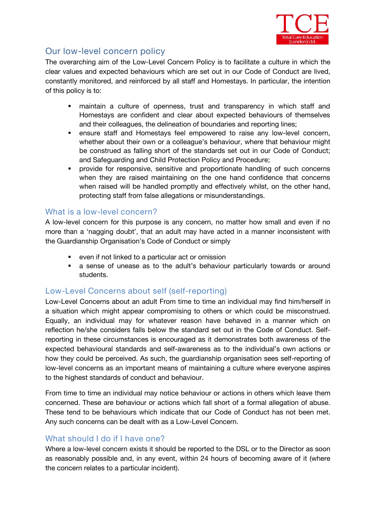

# **Our low-level concern policy**

The overarching aim of the Low-Level Concern Policy is to facilitate a culture in which the clear values and expected behaviours which are set out in our Code of Conduct are lived, constantly monitored, and reinforced by all staff and Homestays. In particular, the intention of this policy is to:

- maintain a culture of openness, trust and transparency in which staff and Homestays are confident and clear about expected behaviours of themselves and their colleagues, the delineation of boundaries and reporting lines;
- ensure staff and Homestays feel empowered to raise any low-level concern, whether about their own or a colleague's behaviour, where that behaviour might be construed as falling short of the standards set out in our Code of Conduct; and Safeguarding and Child Protection Policy and Procedure;
- provide for responsive, sensitive and proportionate handling of such concerns when they are raised maintaining on the one hand confidence that concerns when raised will be handled promptly and effectively whilst, on the other hand, protecting staff from false allegations or misunderstandings.

## **What is a low-level concern?**

A low-level concern for this purpose is any concern, no matter how small and even if no more than a 'nagging doubt', that an adult may have acted in a manner inconsistent with the Guardianship Organisation's Code of Conduct or simply

- even if not linked to a particular act or omission
- a sense of unease as to the adult's behaviour particularly towards or around students.

## **Low-Level Concerns about self (self-reporting)**

Low-Level Concerns about an adult From time to time an individual may find him/herself in a situation which might appear compromising to others orwhich could be misconstrued. Equally, an individual may for whatever reason have behaved in a manner which on reflection he/she considers falls below the standard set out in the Code of Conduct. Selfreporting in these circumstances is encouraged as it demonstrates both awareness of the expected behavioural standards and self-awareness as to the individual's own actions or how they could be perceived. As such, the guardianship organisation sees self-reporting of low-level concerns as an important means of maintaining a culture where everyone aspires to the highest standards of conduct and behaviour.

From time to time an individual may notice behaviour or actions in others which leave them concerned. These are behaviour or actions which fall short of a formal allegation of abuse. These tend to be behaviours which indicate that our Code of Conduct has not been met. Any such concerns can be dealt with as a Low-Level Concern.

## **What should I do if I have one?**

Where a low-level concern exists it should be reported to the DSL or to the *Director*as soon as reasonably possible and, in any event, within 24 hours of becoming aware of it (where the concern relates to a particular incident).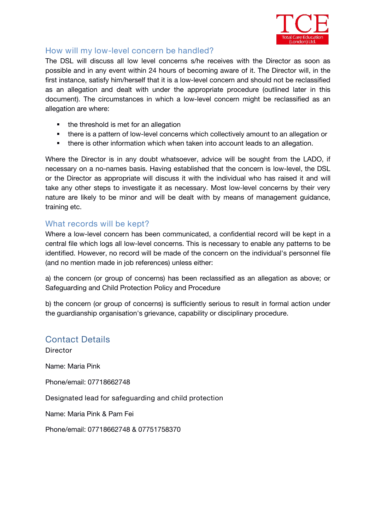

## **How will my low-level concern be handled?**

The DSL will discuss all low level concerns s/he receives with the Director as soon as possible and in any event within 24 hours of becoming aware of it. The *Director*will, in the first instance, satisfy him/herself that it is a low-level concern and should not be reclassified as an allegation and dealt with under the appropriate procedure (outlined later in this document). The circumstances in which a low-level concern might be reclassified as an allegation are where:

- the threshold is met for an allegation
- there is a pattern of low-level concerns which collectively amount to an allegation or
- there is other information which when taken into account leads to an allegation.

Where the *Director* is in any doubt whatsoever, advice will be sought from the LADO, if necessary on a no-names basis. Having established that the concern is low-level, the DSL or *the Director*as appropriate will discuss it with the individual who has raised it and will take any other steps to investigate it as necessary. Most low-level concerns by their very nature are likely to be minor and will be dealt with by means of management guidance, training etc.

#### **What records will be kept?**

Where a low-level concern has been communicated, a confidential record will be kept in a central file which logs all low-level concerns. This is necessary to enable any patterns to be identified. However, no record will be made of the concern on the individual's personnel file (and no mention made in job references) unless either:

a) the concern (or group of concerns) has been reclassified as an allegation as above; or Safeguarding and Child Protection Policy and Procedure

b) the concern (or group of concerns) is sufficiently serious to result in formal action under the guardianship organisation's grievance, capability or disciplinary procedure.

## **Contact Details**

**Director** Name: Maria Pink Phone/email: 07718662748 **Designated lead for safeguarding and child protection** Name: Maria Pink & Pam Fei Phone/email: 07718662748 & 07751758370